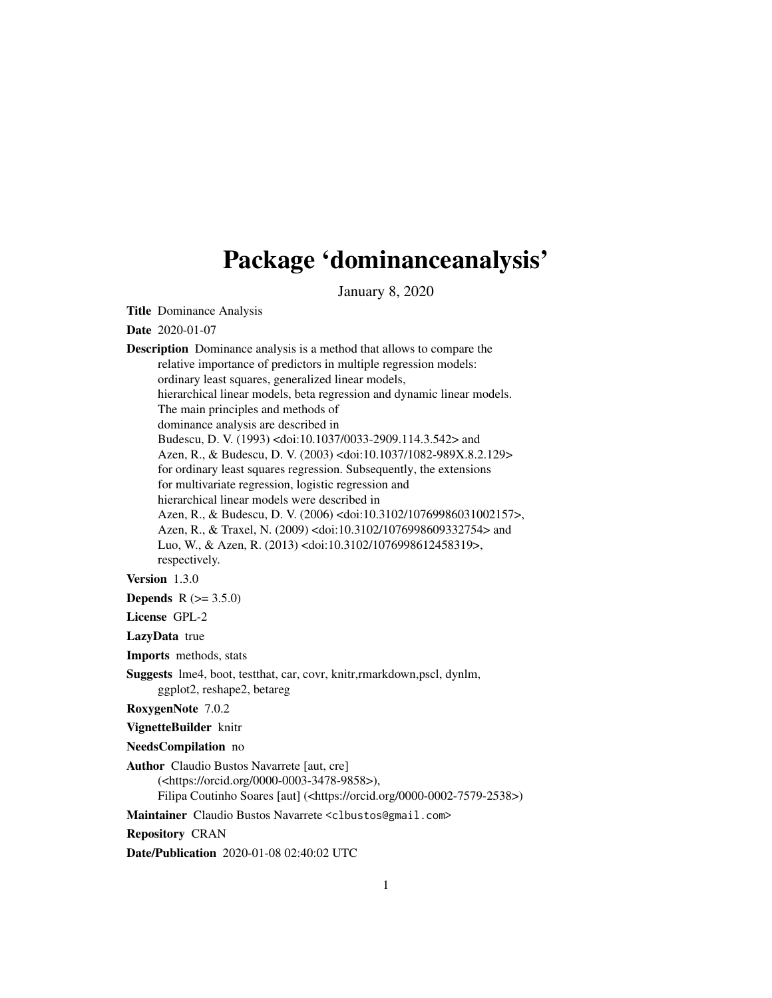# Package 'dominanceanalysis'

January 8, 2020

<span id="page-0-0"></span>Title Dominance Analysis

Date 2020-01-07

Description Dominance analysis is a method that allows to compare the relative importance of predictors in multiple regression models: ordinary least squares, generalized linear models, hierarchical linear models, beta regression and dynamic linear models. The main principles and methods of dominance analysis are described in Budescu, D. V. (1993) <doi:10.1037/0033-2909.114.3.542> and Azen, R., & Budescu, D. V. (2003) <doi:10.1037/1082-989X.8.2.129> for ordinary least squares regression. Subsequently, the extensions for multivariate regression, logistic regression and hierarchical linear models were described in Azen, R., & Budescu, D. V. (2006) <doi:10.3102/10769986031002157>, Azen, R., & Traxel, N. (2009) <doi:10.3102/1076998609332754> and Luo, W., & Azen, R. (2013) <doi:10.3102/1076998612458319>, respectively.

Version 1.3.0

**Depends**  $R (= 3.5.0)$ 

License GPL-2

LazyData true

Imports methods, stats

Suggests lme4, boot, testthat, car, covr, knitr,rmarkdown,pscl, dynlm, ggplot2, reshape2, betareg

RoxygenNote 7.0.2

VignetteBuilder knitr

NeedsCompilation no

Author Claudio Bustos Navarrete [aut, cre] (<https://orcid.org/0000-0003-3478-9858>), Filipa Coutinho Soares [aut] (<https://orcid.org/0000-0002-7579-2538>)

Maintainer Claudio Bustos Navarrete <clbustos@gmail.com>

Repository CRAN

Date/Publication 2020-01-08 02:40:02 UTC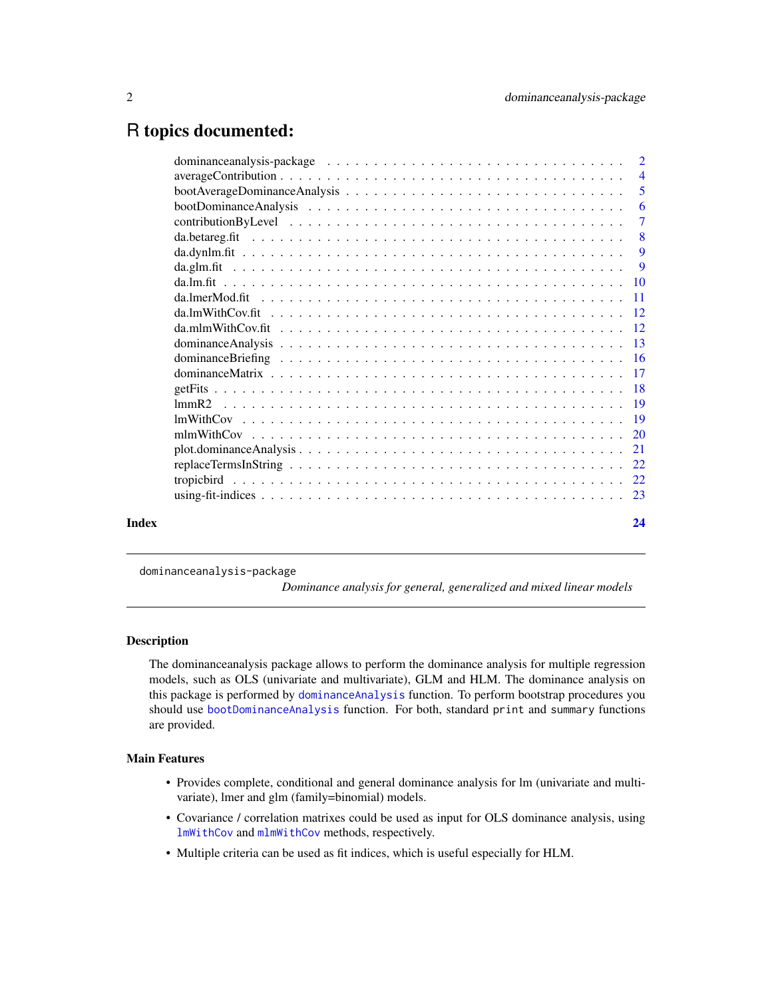# <span id="page-1-0"></span>R topics documented:

|       | dominance analysis-package $\ldots \ldots \ldots \ldots \ldots \ldots \ldots \ldots \ldots \ldots \ldots 2$     |                |
|-------|-----------------------------------------------------------------------------------------------------------------|----------------|
|       | $averageContribution \dots \dots \dots \dots \dots \dots \dots \dots \dots \dots \dots \dots \dots \dots \dots$ |                |
|       |                                                                                                                 |                |
|       |                                                                                                                 | -6             |
|       |                                                                                                                 | $\overline{7}$ |
|       |                                                                                                                 | 8              |
|       |                                                                                                                 | 9              |
|       |                                                                                                                 | 9              |
|       |                                                                                                                 |                |
|       |                                                                                                                 |                |
|       |                                                                                                                 |                |
|       |                                                                                                                 |                |
|       |                                                                                                                 |                |
|       |                                                                                                                 |                |
|       |                                                                                                                 |                |
|       |                                                                                                                 |                |
|       |                                                                                                                 |                |
|       |                                                                                                                 |                |
|       |                                                                                                                 |                |
|       |                                                                                                                 |                |
|       |                                                                                                                 |                |
|       |                                                                                                                 |                |
|       |                                                                                                                 |                |
| Index |                                                                                                                 | 24             |

dominanceanalysis-package

*Dominance analysis for general, generalized and mixed linear models*

# Description

The dominanceanalysis package allows to perform the dominance analysis for multiple regression models, such as OLS (univariate and multivariate), GLM and HLM. The dominance analysis on this package is performed by [dominanceAnalysis](#page-12-1) function. To perform bootstrap procedures you should use [bootDominanceAnalysis](#page-5-1) function. For both, standard print and summary functions are provided.

#### Main Features

- Provides complete, conditional and general dominance analysis for lm (univariate and multivariate), lmer and glm (family=binomial) models.
- Covariance / correlation matrixes could be used as input for OLS dominance analysis, using [lmWithCov](#page-18-1) and [mlmWithCov](#page-19-1) methods, respectively.
- Multiple criteria can be used as fit indices, which is useful especially for HLM.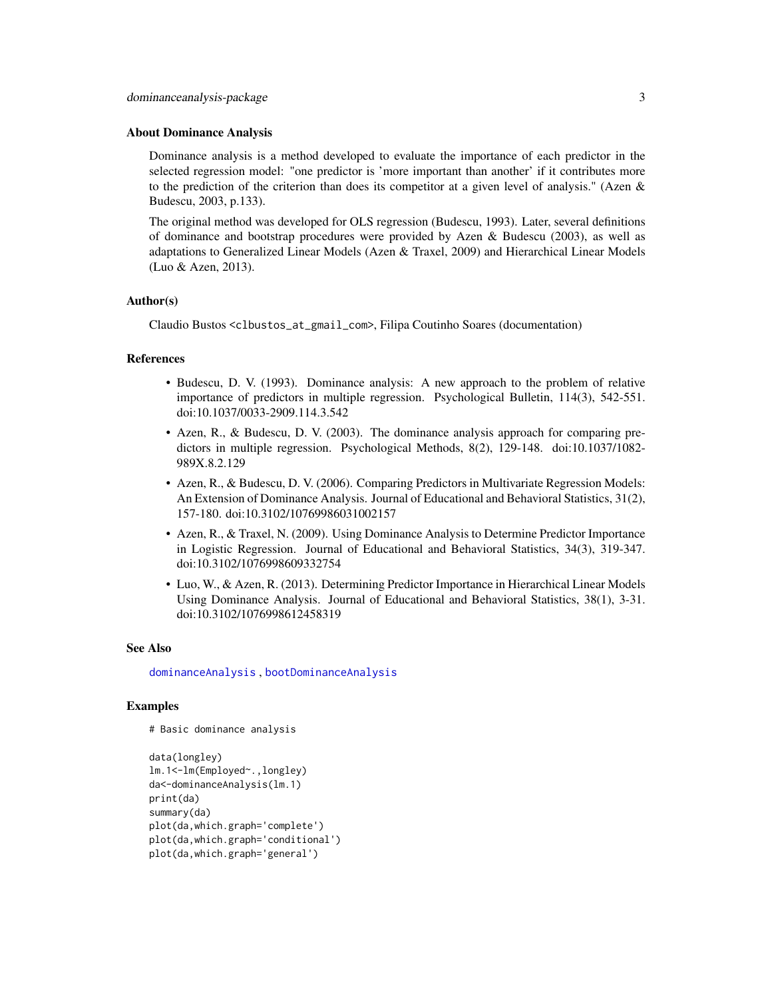#### <span id="page-2-0"></span>About Dominance Analysis

Dominance analysis is a method developed to evaluate the importance of each predictor in the selected regression model: "one predictor is 'more important than another' if it contributes more to the prediction of the criterion than does its competitor at a given level of analysis." (Azen  $\&$ Budescu, 2003, p.133).

The original method was developed for OLS regression (Budescu, 1993). Later, several definitions of dominance and bootstrap procedures were provided by Azen & Budescu (2003), as well as adaptations to Generalized Linear Models (Azen & Traxel, 2009) and Hierarchical Linear Models (Luo & Azen, 2013).

#### Author(s)

Claudio Bustos <clbustos\_at\_gmail\_com>, Filipa Coutinho Soares (documentation)

#### References

- Budescu, D. V. (1993). Dominance analysis: A new approach to the problem of relative importance of predictors in multiple regression. Psychological Bulletin, 114(3), 542-551. doi:10.1037/0033-2909.114.3.542
- Azen, R., & Budescu, D. V. (2003). The dominance analysis approach for comparing predictors in multiple regression. Psychological Methods, 8(2), 129-148. doi:10.1037/1082- 989X.8.2.129
- Azen, R., & Budescu, D. V. (2006). Comparing Predictors in Multivariate Regression Models: An Extension of Dominance Analysis. Journal of Educational and Behavioral Statistics, 31(2), 157-180. doi:10.3102/10769986031002157
- Azen, R., & Traxel, N. (2009). Using Dominance Analysis to Determine Predictor Importance in Logistic Regression. Journal of Educational and Behavioral Statistics, 34(3), 319-347. doi:10.3102/1076998609332754
- Luo, W., & Azen, R. (2013). Determining Predictor Importance in Hierarchical Linear Models Using Dominance Analysis. Journal of Educational and Behavioral Statistics, 38(1), 3-31. doi:10.3102/1076998612458319

#### See Also

[dominanceAnalysis](#page-12-1) , [bootDominanceAnalysis](#page-5-1)

#### Examples

```
# Basic dominance analysis
```

```
data(longley)
lm.1<-lm(Employed~.,longley)
da<-dominanceAnalysis(lm.1)
print(da)
summary(da)
plot(da,which.graph='complete')
plot(da,which.graph='conditional')
plot(da,which.graph='general')
```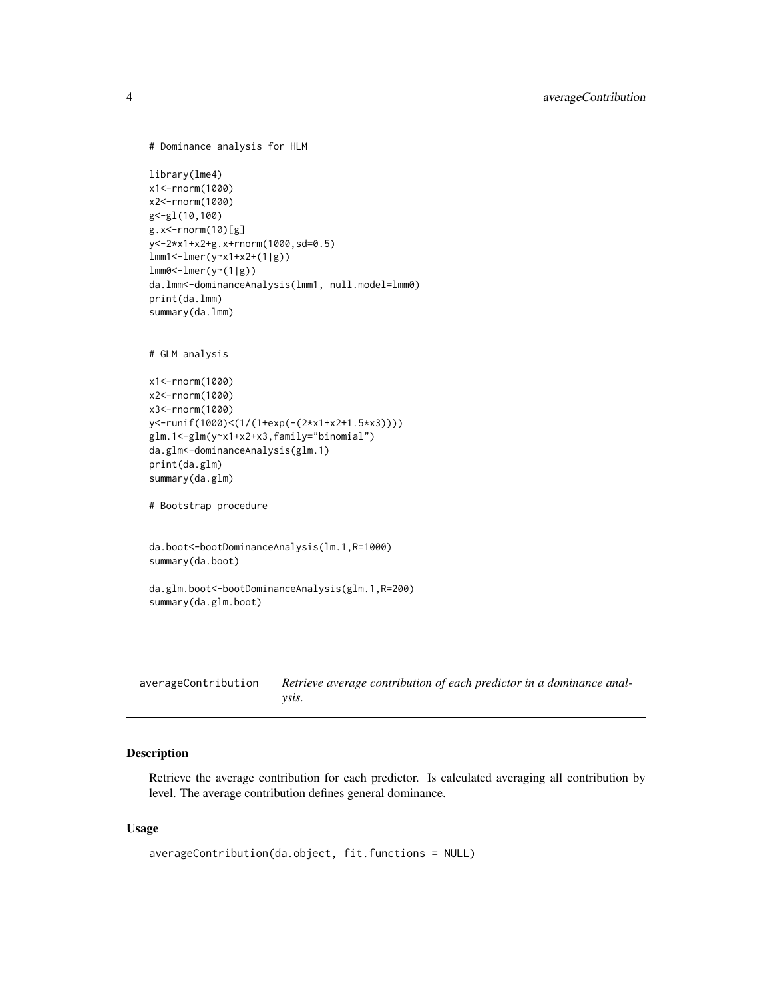```
# Dominance analysis for HLM
library(lme4)
x1<-rnorm(1000)
x2<-rnorm(1000)
g<-gl(10,100)
g.x<-rnorm(10)[g]
y<-2*x1+x2+g.x+rnorm(1000,sd=0.5)
lmm1<-lmer(y~x1+x2+(1|g))
lmm0<-lmer(y~(1|g))
da.lmm<-dominanceAnalysis(lmm1, null.model=lmm0)
print(da.lmm)
summary(da.lmm)
# GLM analysis
x1<-rnorm(1000)
x2<-rnorm(1000)
x3<-rnorm(1000)
y<-runif(1000)<(1/(1+exp(-(2*x1+x2+1.5*x3))))
glm.1<-glm(y~x1+x2+x3,family="binomial")
da.glm<-dominanceAnalysis(glm.1)
print(da.glm)
summary(da.glm)
# Bootstrap procedure
da.boot<-bootDominanceAnalysis(lm.1,R=1000)
summary(da.boot)
da.glm.boot<-bootDominanceAnalysis(glm.1,R=200)
summary(da.glm.boot)
```
<span id="page-3-1"></span>averageContribution *Retrieve average contribution of each predictor in a dominance analysis.*

# Description

Retrieve the average contribution for each predictor. Is calculated averaging all contribution by level. The average contribution defines general dominance.

## Usage

```
averageContribution(da.object, fit.functions = NULL)
```
<span id="page-3-0"></span>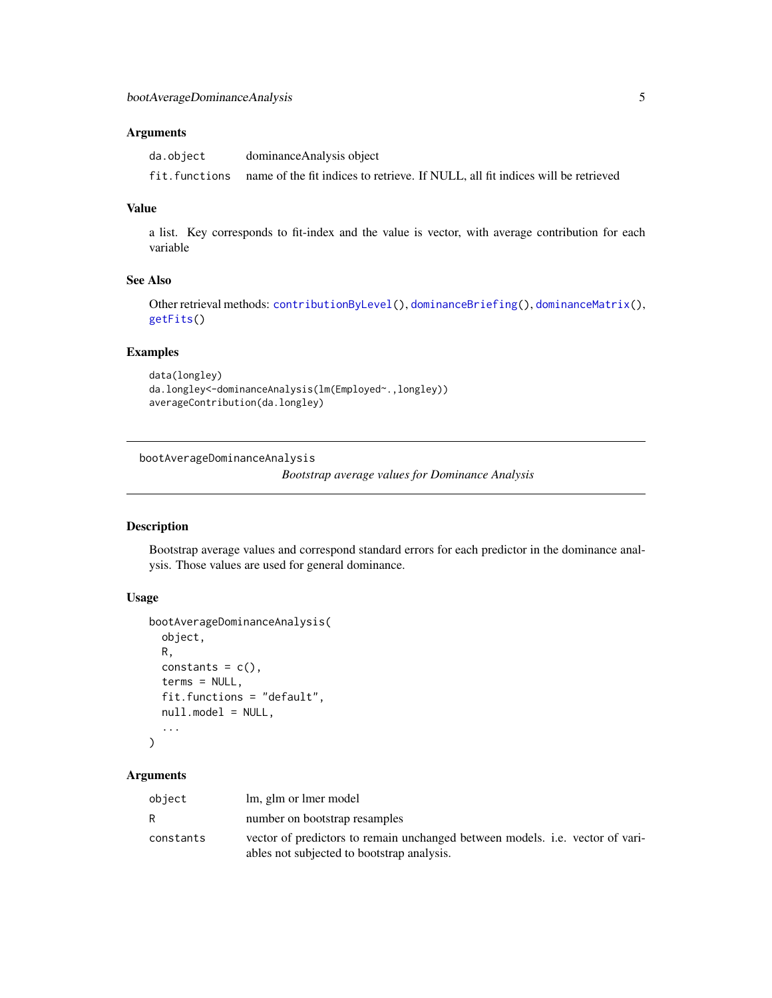# <span id="page-4-0"></span>Arguments

| da.object     | dominance Analysis object                                                       |
|---------------|---------------------------------------------------------------------------------|
| fit.functions | name of the fit indices to retrieve. If NULL, all fit indices will be retrieved |

#### Value

a list. Key corresponds to fit-index and the value is vector, with average contribution for each variable

# See Also

Other retrieval methods: [contributionByLevel\(](#page-6-1)), [dominanceBriefing\(](#page-15-1)), [dominanceMatrix\(](#page-16-1)), [getFits\(](#page-17-1))

# Examples

```
data(longley)
da.longley<-dominanceAnalysis(lm(Employed~.,longley))
averageContribution(da.longley)
```
bootAverageDominanceAnalysis

*Bootstrap average values for Dominance Analysis*

#### Description

Bootstrap average values and correspond standard errors for each predictor in the dominance analysis. Those values are used for general dominance.

# Usage

```
bootAverageDominanceAnalysis(
  object,
 R,
  constants = c(),
  terms = NULL,
  fit.functions = "default",
  null.model = NULL,
  ...
)
```

| object    | lm, glm or lmer model                                                                                                              |
|-----------|------------------------------------------------------------------------------------------------------------------------------------|
| R         | number on bootstrap resamples                                                                                                      |
| constants | vector of predictors to remain unchanged between models. <i>i.e.</i> vector of vari-<br>ables not subjected to bootstrap analysis. |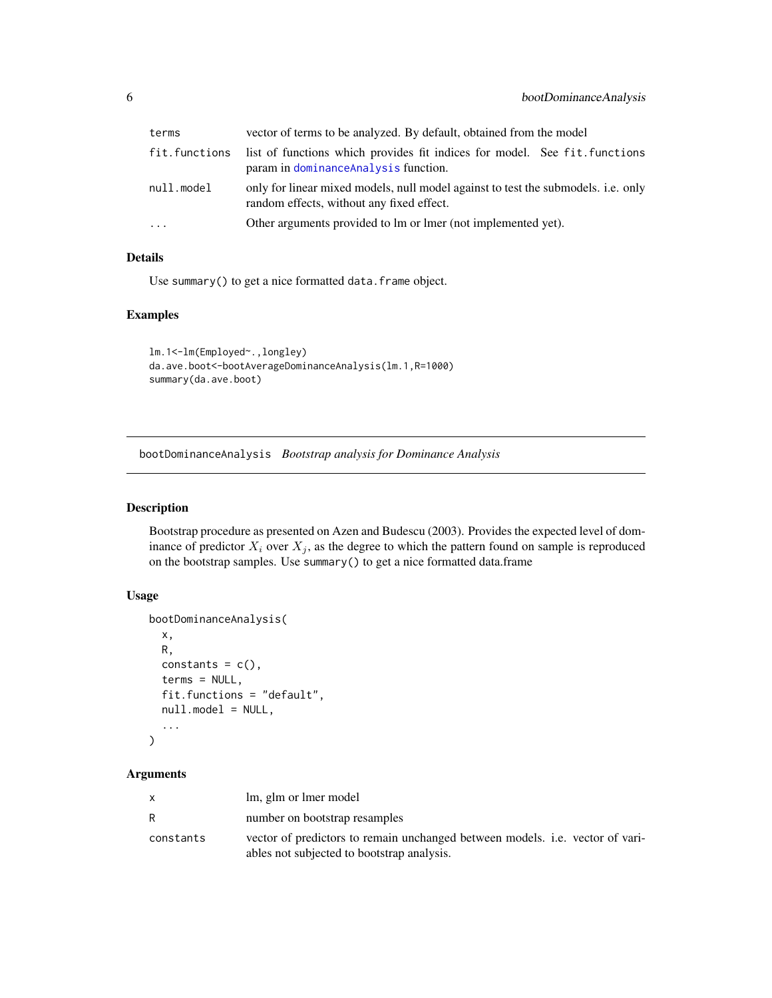<span id="page-5-0"></span>

| terms         | vector of terms to be analyzed. By default, obtained from the model                                                            |
|---------------|--------------------------------------------------------------------------------------------------------------------------------|
| fit.functions | list of functions which provides fit indices for model. See fit functions<br>param in dominanceAnalysis function.              |
| null.model    | only for linear mixed models, null model against to test the submodels. i.e. only<br>random effects, without any fixed effect. |
| $\ddots$      | Other arguments provided to lm or lmer (not implemented yet).                                                                  |

# Details

Use summary() to get a nice formatted data.frame object.

#### Examples

```
lm.1<-lm(Employed~.,longley)
da.ave.boot<-bootAverageDominanceAnalysis(lm.1,R=1000)
summary(da.ave.boot)
```
<span id="page-5-1"></span>bootDominanceAnalysis *Bootstrap analysis for Dominance Analysis*

# Description

Bootstrap procedure as presented on Azen and Budescu (2003). Provides the expected level of dominance of predictor  $X_i$  over  $X_j$ , as the degree to which the pattern found on sample is reproduced on the bootstrap samples. Use summary() to get a nice formatted data.frame

# Usage

```
bootDominanceAnalysis(
  x,
 R,
  constants = c(),
  terms = NULL,
  fit.functions = "default",
 null.model = NULL,
  ...
)
```

| X         | lm, glm or lmer model                                                                                                              |
|-----------|------------------------------------------------------------------------------------------------------------------------------------|
| R         | number on bootstrap resamples                                                                                                      |
| constants | vector of predictors to remain unchanged between models. <i>i.e.</i> vector of vari-<br>ables not subjected to bootstrap analysis. |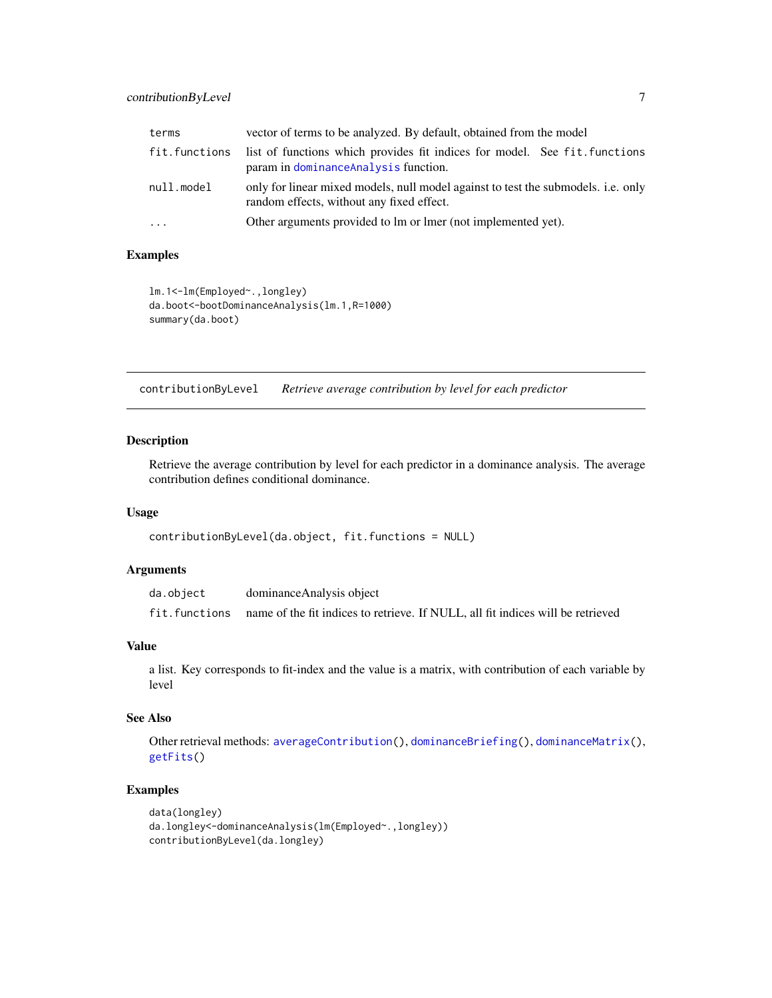# <span id="page-6-0"></span>contributionByLevel 7

| terms         | vector of terms to be analyzed. By default, obtained from the model                                                                   |
|---------------|---------------------------------------------------------------------------------------------------------------------------------------|
| fit.functions | list of functions which provides fit indices for model. See fit functions<br>param in dominanceAnalysis function.                     |
| null.model    | only for linear mixed models, null model against to test the submodels. <i>i.e.</i> only<br>random effects, without any fixed effect. |
| $\cdots$      | Other arguments provided to lm or lmer (not implemented yet).                                                                         |

# Examples

```
lm.1<-lm(Employed~.,longley)
da.boot<-bootDominanceAnalysis(lm.1,R=1000)
summary(da.boot)
```
<span id="page-6-1"></span>contributionByLevel *Retrieve average contribution by level for each predictor*

# Description

Retrieve the average contribution by level for each predictor in a dominance analysis. The average contribution defines conditional dominance.

# Usage

```
contributionByLevel(da.object, fit.functions = NULL)
```
# Arguments

| da.object     | dominance Analysis object                                                       |
|---------------|---------------------------------------------------------------------------------|
| fit.functions | name of the fit indices to retrieve. If NULL, all fit indices will be retrieved |

# Value

a list. Key corresponds to fit-index and the value is a matrix, with contribution of each variable by level

# See Also

Other retrieval methods: [averageContribution\(](#page-3-1)), [dominanceBriefing\(](#page-15-1)), [dominanceMatrix\(](#page-16-1)), [getFits\(](#page-17-1))

# Examples

```
data(longley)
da.longley<-dominanceAnalysis(lm(Employed~.,longley))
contributionByLevel(da.longley)
```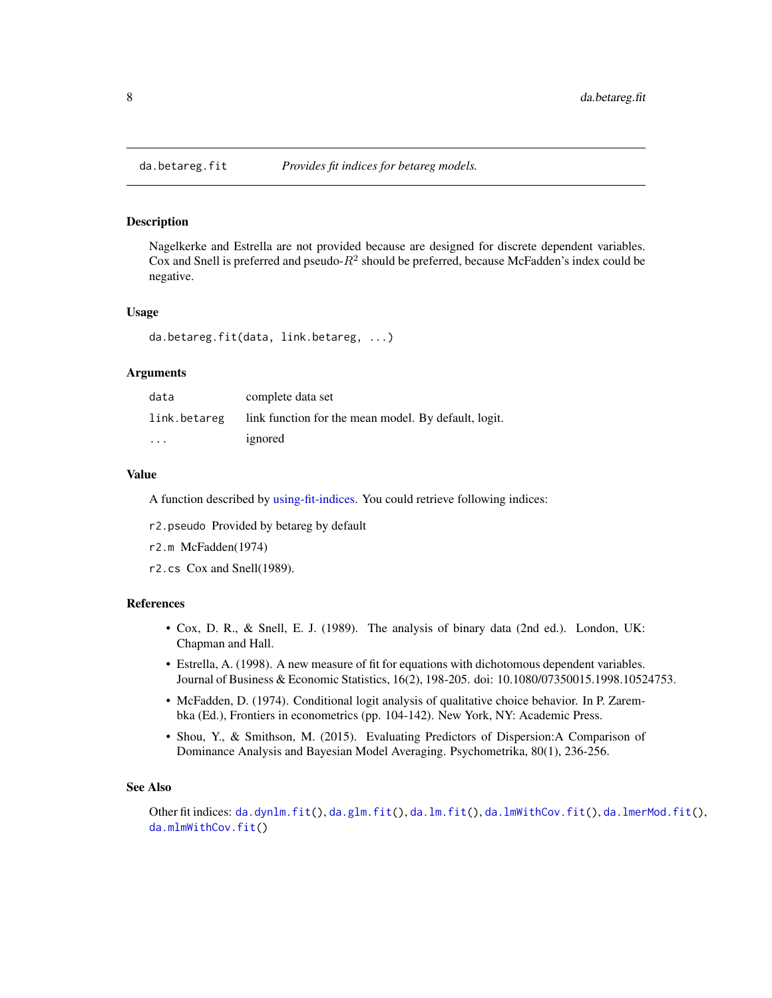<span id="page-7-1"></span><span id="page-7-0"></span>

# **Description**

Nagelkerke and Estrella are not provided because are designed for discrete dependent variables. Cox and Snell is preferred and pseudo- $R^2$  should be preferred, because McFadden's index could be negative.

#### Usage

da.betareg.fit(data, link.betareg, ...)

#### Arguments

| data                    | complete data set                                    |
|-------------------------|------------------------------------------------------|
| link.betareg            | link function for the mean model. By default, logit. |
| $\cdot$ $\cdot$ $\cdot$ | ignored                                              |

#### Value

A function described by [using-fit-indices.](#page-22-1) You could retrieve following indices:

r2.pseudo Provided by betareg by default

r2.m McFadden(1974)

r2.cs Cox and Snell(1989).

# References

- Cox, D. R., & Snell, E. J. (1989). The analysis of binary data (2nd ed.). London, UK: Chapman and Hall.
- Estrella, A. (1998). A new measure of fit for equations with dichotomous dependent variables. Journal of Business & Economic Statistics, 16(2), 198-205. doi: 10.1080/07350015.1998.10524753.
- McFadden, D. (1974). Conditional logit analysis of qualitative choice behavior. In P. Zarembka (Ed.), Frontiers in econometrics (pp. 104-142). New York, NY: Academic Press.
- Shou, Y., & Smithson, M. (2015). Evaluating Predictors of Dispersion:A Comparison of Dominance Analysis and Bayesian Model Averaging. Psychometrika, 80(1), 236-256.

#### See Also

Other fit indices: [da.dynlm.fit\(](#page-8-1)), [da.glm.fit\(](#page-8-2)), [da.lm.fit\(](#page-9-1)), [da.lmWithCov.fit\(](#page-11-1)), [da.lmerMod.fit\(](#page-10-1)), [da.mlmWithCov.fit\(](#page-11-2))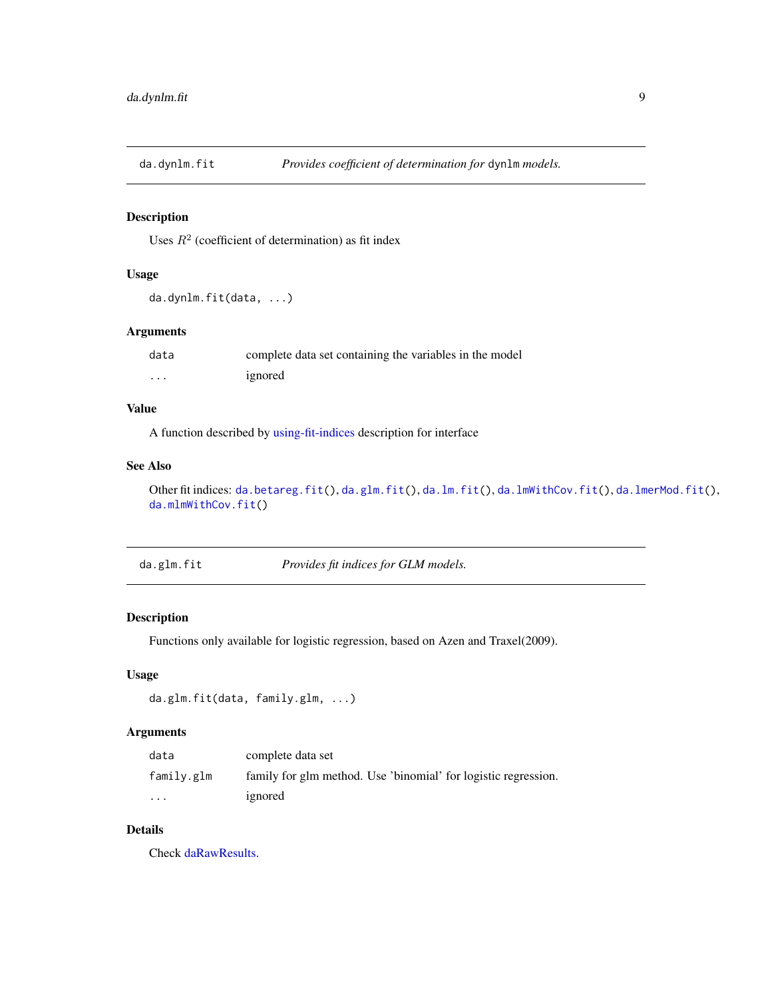<span id="page-8-1"></span><span id="page-8-0"></span>

# Description

Uses  $R^2$  (coefficient of determination) as fit index

# Usage

```
da.dynlm.fit(data, ...)
```
# Arguments

| data     | complete data set containing the variables in the model |
|----------|---------------------------------------------------------|
| $\cdots$ | ignored                                                 |

# Value

A function described by [using-fit-indices](#page-22-1) description for interface

# See Also

Other fit indices: [da.betareg.fit\(](#page-7-1)), [da.glm.fit\(](#page-8-2)), [da.lm.fit\(](#page-9-1)), [da.lmWithCov.fit\(](#page-11-1)), [da.lmerMod.fit\(](#page-10-1)), [da.mlmWithCov.fit\(](#page-11-2))

<span id="page-8-2"></span>da.glm.fit *Provides fit indices for GLM models.*

# Description

Functions only available for logistic regression, based on Azen and Traxel(2009).

# Usage

```
da.glm.fit(data, family.glm, ...)
```
# Arguments

| data                    | complete data set                                              |
|-------------------------|----------------------------------------------------------------|
| family.glm              | family for glm method. Use 'binomial' for logistic regression. |
| $\cdot$ $\cdot$ $\cdot$ | ignored                                                        |

# Details

Check [daRawResults.](#page-0-0)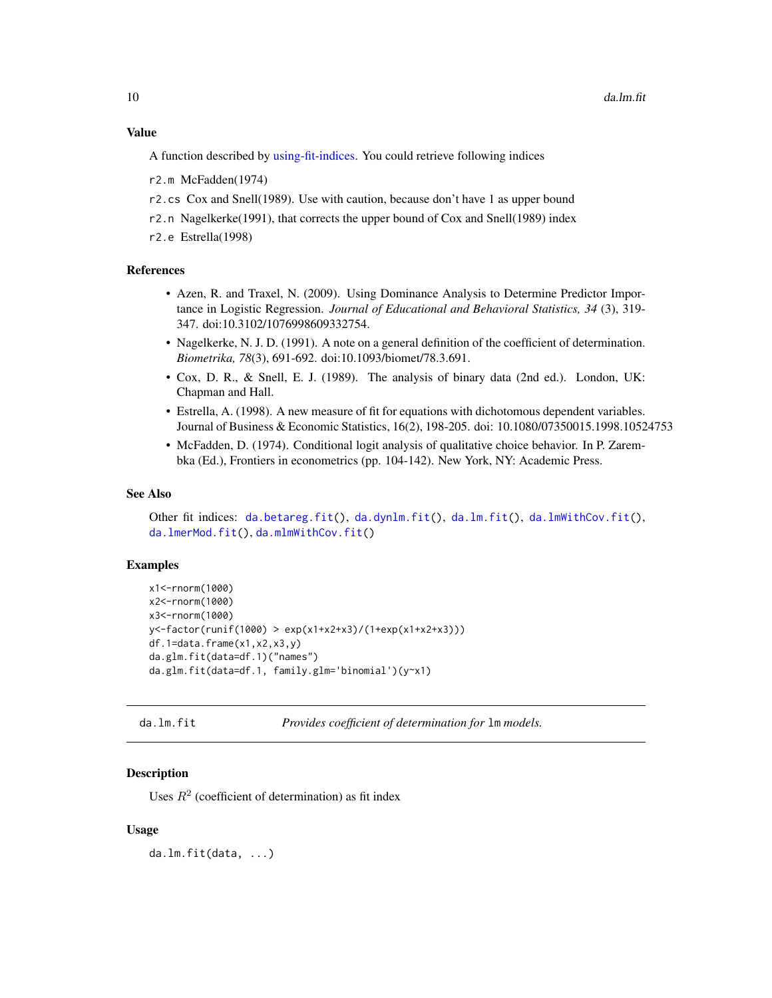<span id="page-9-0"></span>A function described by [using-fit-indices.](#page-22-1) You could retrieve following indices

r2.m McFadden(1974)

- r2.cs Cox and Snell(1989). Use with caution, because don't have 1 as upper bound
- r2.n Nagelkerke(1991), that corrects the upper bound of Cox and Snell(1989) index

r2.e Estrella(1998)

# References

- Azen, R. and Traxel, N. (2009). Using Dominance Analysis to Determine Predictor Importance in Logistic Regression. *Journal of Educational and Behavioral Statistics, 34* (3), 319- 347. doi:10.3102/1076998609332754.
- Nagelkerke, N. J. D. (1991). A note on a general definition of the coefficient of determination. *Biometrika, 78*(3), 691-692. doi:10.1093/biomet/78.3.691.
- Cox, D. R., & Snell, E. J. (1989). The analysis of binary data (2nd ed.). London, UK: Chapman and Hall.
- Estrella, A. (1998). A new measure of fit for equations with dichotomous dependent variables. Journal of Business & Economic Statistics, 16(2), 198-205. doi: 10.1080/07350015.1998.10524753
- McFadden, D. (1974). Conditional logit analysis of qualitative choice behavior. In P. Zarembka (Ed.), Frontiers in econometrics (pp. 104-142). New York, NY: Academic Press.

#### See Also

Other fit indices: [da.betareg.fit\(](#page-7-1)), [da.dynlm.fit\(](#page-8-1)), [da.lm.fit\(](#page-9-1)), [da.lmWithCov.fit\(](#page-11-1)), [da.lmerMod.fit\(](#page-10-1)), [da.mlmWithCov.fit\(](#page-11-2))

#### Examples

```
x1<-rnorm(1000)
x2<-rnorm(1000)
x3<-rnorm(1000)
y<-factor(runif(1000) > exp(x1+x2+x3)/(1+exp(x1+x2+x3)))
df.1=data.frame(x1,x2,x3,y)
da.glm.fit(data=df.1)("names")
da.glm.fit(data=df.1, family.glm='binomial')(y~x1)
```
<span id="page-9-1"></span>

da.lm.fit *Provides coefficient of determination for* lm *models.*

# **Description**

Uses  $R^2$  (coefficient of determination) as fit index

#### Usage

da.lm.fit(data, ...)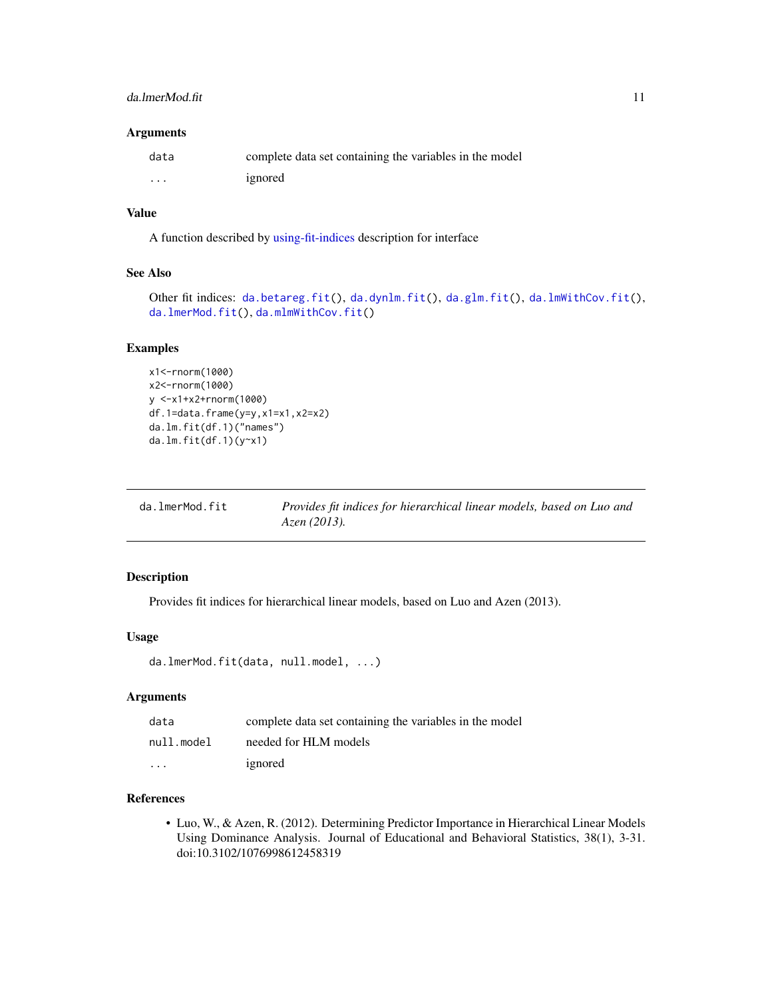# <span id="page-10-0"></span>da.lmerMod.fit 11

# Arguments

| data     | complete data set containing the variables in the model |
|----------|---------------------------------------------------------|
| $\cdots$ | ignored                                                 |

#### Value

A function described by [using-fit-indices](#page-22-1) description for interface

#### See Also

```
da.betareg.fit(da.dynlm.fit(da.glm.fit(da.lmWithCov.fit(),
da.lmerMod.fit(), da.mlmWithCov.fit()
```
#### Examples

```
x1<-rnorm(1000)
x2<-rnorm(1000)
y <-x1+x2+rnorm(1000)
df.1=data.frame(y=y,x1=x1,x2=x2)
da.lm.fit(df.1)("names")
da.lm.fit(df.1)(y~x1)
```
<span id="page-10-1"></span>

| da.lmerMod.fit | Provides fit indices for hierarchical linear models, based on Luo and |
|----------------|-----------------------------------------------------------------------|
|                | Azen (2013).                                                          |

### Description

Provides fit indices for hierarchical linear models, based on Luo and Azen (2013).

#### Usage

```
da.lmerMod.fit(data, null.model, ...)
```
# Arguments

| data                    | complete data set containing the variables in the model |
|-------------------------|---------------------------------------------------------|
| null.model              | needed for HLM models                                   |
| $\cdot$ $\cdot$ $\cdot$ | ignored                                                 |

# References

• Luo, W., & Azen, R. (2012). Determining Predictor Importance in Hierarchical Linear Models Using Dominance Analysis. Journal of Educational and Behavioral Statistics, 38(1), 3-31. doi:10.3102/1076998612458319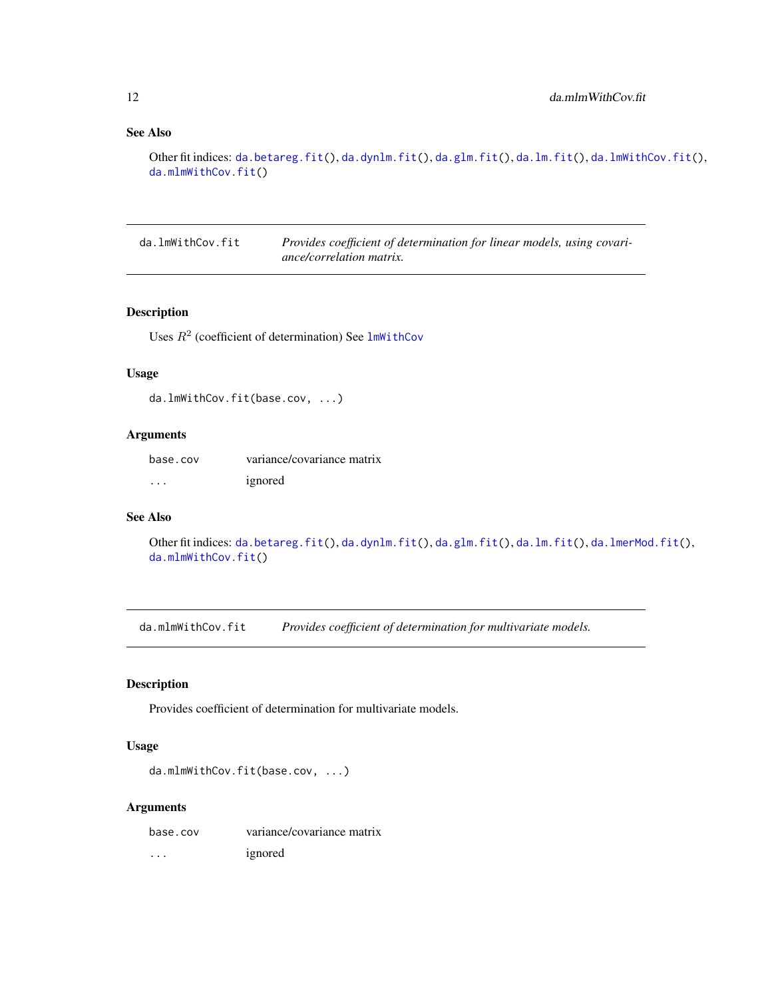# See Also

```
da.betareg.fit(da.dynlm.fit(da.glm.fit(da.lm.fit(da.lmWithCov.fit(),
da.mlmWithCov.fit()
```
<span id="page-11-1"></span>da.lmWithCov.fit *Provides coefficient of determination for linear models, using covariance/correlation matrix.*

# Description

Uses  $R^2$  (coefficient of determination) See  $lmWithCov$ 

# Usage

da.lmWithCov.fit(base.cov, ...)

#### Arguments

| base.cov | variance/covariance matrix |
|----------|----------------------------|
| .        | ignored                    |

## See Also

```
da.betareg.fit(da.dynlm.fit(da.glm.fit(da.lm.fit(da.lmerMod.fit(),
da.mlmWithCov.fit()
```
<span id="page-11-2"></span>da.mlmWithCov.fit *Provides coefficient of determination for multivariate models.*

# Description

Provides coefficient of determination for multivariate models.

#### Usage

```
da.mlmWithCov.fit(base.cov, ...)
```

| base.cov | variance/covariance matrix |
|----------|----------------------------|
| $\cdots$ | ignored                    |

<span id="page-11-0"></span>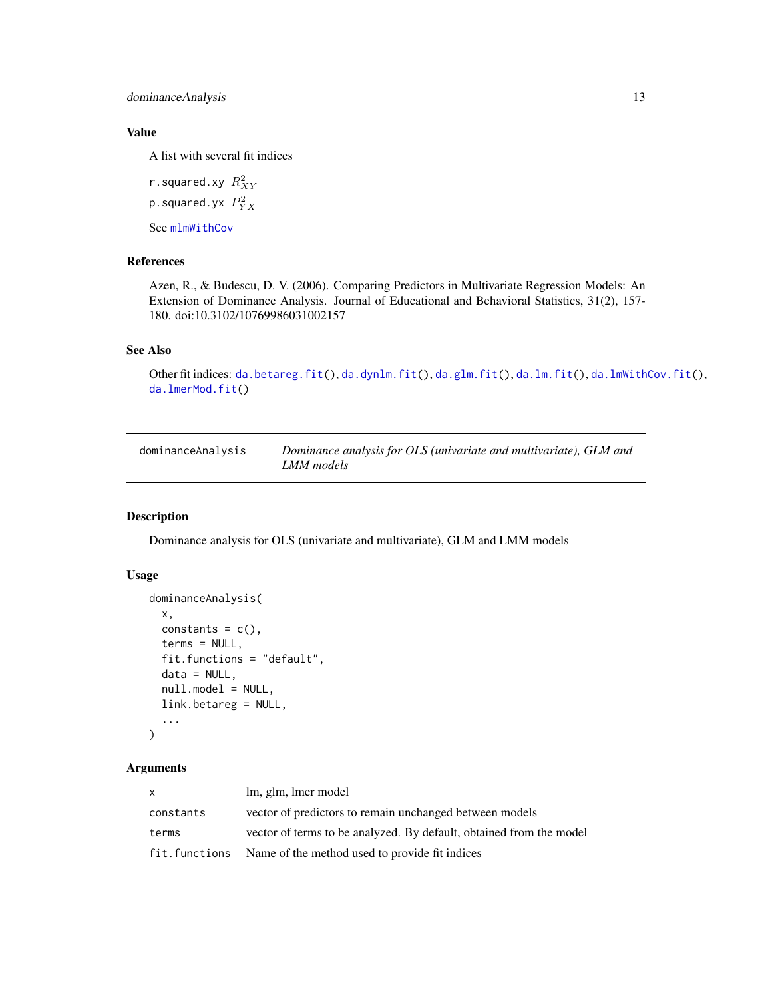<span id="page-12-0"></span>dominanceAnalysis 13

# Value

A list with several fit indices

r.squared.xy  $R_{XY}^2$ 

p.squared.yx  $\mathit{P}^{2}_{YX}$ 

See [mlmWithCov](#page-19-1)

#### References

Azen, R., & Budescu, D. V. (2006). Comparing Predictors in Multivariate Regression Models: An Extension of Dominance Analysis. Journal of Educational and Behavioral Statistics, 31(2), 157- 180. doi:10.3102/10769986031002157

# See Also

```
da.betareg.fit(da.dynlm.fit(da.glm.fit(da.lm.fit(da.lmWithCov.fit(),
da.lmerMod.fit()
```
<span id="page-12-1"></span>

| dominanceAnalysis | Dominance analysis for OLS (univariate and multivariate), GLM and |
|-------------------|-------------------------------------------------------------------|
|                   | LMM models                                                        |

# Description

Dominance analysis for OLS (univariate and multivariate), GLM and LMM models

#### Usage

```
dominanceAnalysis(
  x,
  constants = c(),
  terms = NULL,
  fit.functions = "default",
  data = NULL,null.model = NULL,
  link.betareg = NULL,
  ...
\mathcal{L}
```

| X         | lm, glm, lmer model                                                 |
|-----------|---------------------------------------------------------------------|
| constants | vector of predictors to remain unchanged between models             |
| terms     | vector of terms to be analyzed. By default, obtained from the model |
|           | fit. functions Name of the method used to provide fit indices       |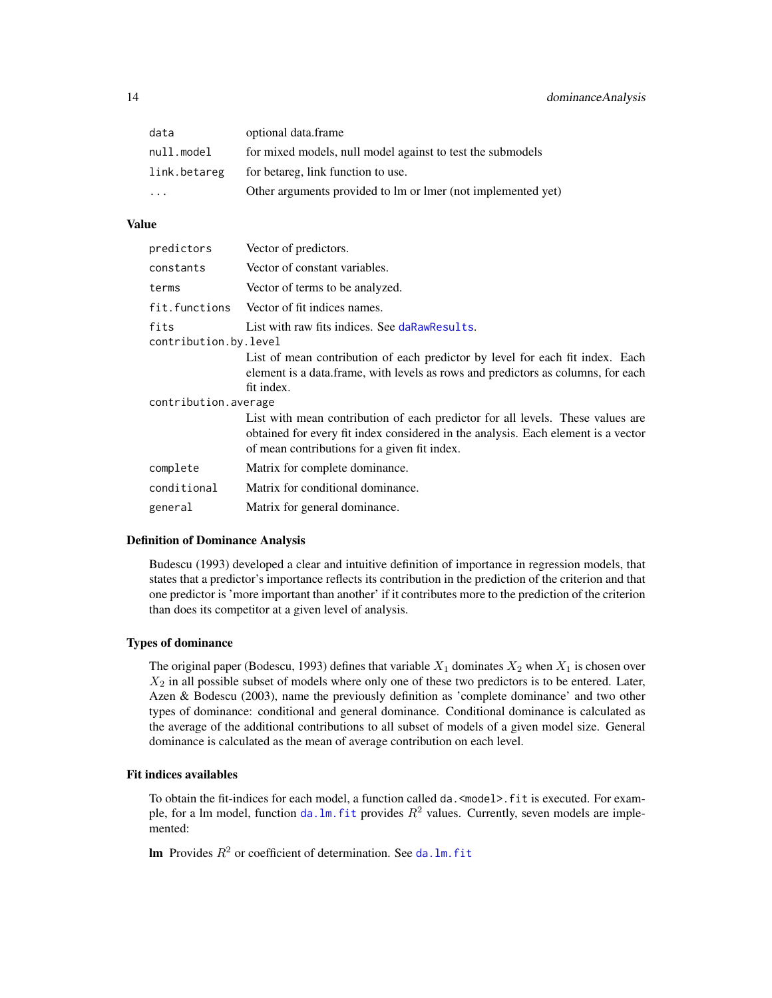<span id="page-13-0"></span>

| data         | optional data.frame                                          |
|--------------|--------------------------------------------------------------|
| null.model   | for mixed models, null model against to test the submodels   |
| link.betareg | for betareg, link function to use.                           |
| $\ddotsc$    | Other arguments provided to lm or lmer (not implemented yet) |

#### Value

| predictors                    | Vector of predictors.                                                                                                                                                                                               |  |
|-------------------------------|---------------------------------------------------------------------------------------------------------------------------------------------------------------------------------------------------------------------|--|
| constants                     | Vector of constant variables.                                                                                                                                                                                       |  |
| terms                         | Vector of terms to be analyzed.                                                                                                                                                                                     |  |
| fit.functions                 | Vector of fit indices names.                                                                                                                                                                                        |  |
| fits<br>contribution.by.level | List with raw fits indices. See daRawResults.                                                                                                                                                                       |  |
|                               | List of mean contribution of each predictor by level for each fit index. Each<br>element is a data.frame, with levels as rows and predictors as columns, for each<br>fit index.                                     |  |
| contribution.average          |                                                                                                                                                                                                                     |  |
|                               | List with mean contribution of each predictor for all levels. These values are<br>obtained for every fit index considered in the analysis. Each element is a vector<br>of mean contributions for a given fit index. |  |
| complete                      | Matrix for complete dominance.                                                                                                                                                                                      |  |
| conditional                   | Matrix for conditional dominance.                                                                                                                                                                                   |  |
| general                       | Matrix for general dominance.                                                                                                                                                                                       |  |

# Definition of Dominance Analysis

Budescu (1993) developed a clear and intuitive definition of importance in regression models, that states that a predictor's importance reflects its contribution in the prediction of the criterion and that one predictor is 'more important than another' if it contributes more to the prediction of the criterion than does its competitor at a given level of analysis.

# Types of dominance

The original paper (Bodescu, 1993) defines that variable  $X_1$  dominates  $X_2$  when  $X_1$  is chosen over  $X_2$  in all possible subset of models where only one of these two predictors is to be entered. Later, Azen & Bodescu (2003), name the previously definition as 'complete dominance' and two other types of dominance: conditional and general dominance. Conditional dominance is calculated as the average of the additional contributions to all subset of models of a given model size. General dominance is calculated as the mean of average contribution on each level.

#### Fit indices availables

To obtain the fit-indices for each model, a function called da. <model>.fit is executed. For example, for a lm model, function da.lm. fit provides  $R^2$  values. Currently, seven models are implemented:

**lm** Provides  $R^2$  or coefficient of determination. See da.  $lm$ . fit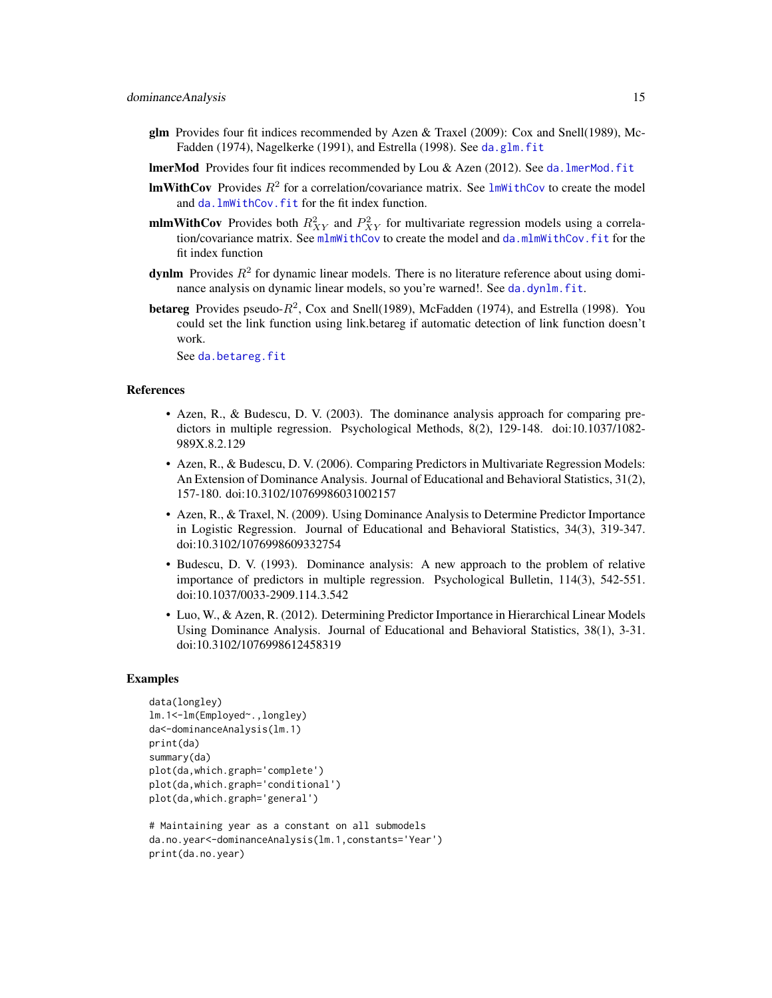- <span id="page-14-0"></span>glm Provides four fit indices recommended by Azen & Traxel (2009): Cox and Snell(1989), McFadden (1974), Nagelkerke (1991), and Estrella (1998). See [da.glm.fit](#page-8-2)
- lmerMod Provides four fit indices recommended by Lou & Azen (2012). See [da.lmerMod.fit](#page-10-1)
- **ImWithCov** Provides  $R^2$  for a correlation/covariance matrix. See  $lmWithCov$  to create the model and da. lmWithCov. fit for the fit index function.
- **mlmWithCov** Provides both  $R_{XY}^2$  and  $P_{XY}^2$  for multivariate regression models using a correlation/covariance matrix. See [mlmWithCov](#page-19-1) to create the model and [da.mlmWithCov.fit](#page-11-2) for the fit index function
- **dynlm** Provides  $R^2$  for dynamic linear models. There is no literature reference about using dominance analysis on dynamic linear models, so you're warned!. See [da.dynlm.fit](#page-8-1).
- **betareg** Provides pseudo- $R^2$ , Cox and Snell(1989), McFadden (1974), and Estrella (1998). You could set the link function using link.betareg if automatic detection of link function doesn't work.

See [da.betareg.fit](#page-7-1)

#### References

- Azen, R., & Budescu, D. V. (2003). The dominance analysis approach for comparing predictors in multiple regression. Psychological Methods, 8(2), 129-148. doi:10.1037/1082- 989X.8.2.129
- Azen, R., & Budescu, D. V. (2006). Comparing Predictors in Multivariate Regression Models: An Extension of Dominance Analysis. Journal of Educational and Behavioral Statistics, 31(2), 157-180. doi:10.3102/10769986031002157
- Azen, R., & Traxel, N. (2009). Using Dominance Analysis to Determine Predictor Importance in Logistic Regression. Journal of Educational and Behavioral Statistics, 34(3), 319-347. doi:10.3102/1076998609332754
- Budescu, D. V. (1993). Dominance analysis: A new approach to the problem of relative importance of predictors in multiple regression. Psychological Bulletin, 114(3), 542-551. doi:10.1037/0033-2909.114.3.542
- Luo, W., & Azen, R. (2012). Determining Predictor Importance in Hierarchical Linear Models Using Dominance Analysis. Journal of Educational and Behavioral Statistics, 38(1), 3-31. doi:10.3102/1076998612458319

#### Examples

```
data(longley)
lm.1<-lm(Employed~.,longley)
da<-dominanceAnalysis(lm.1)
print(da)
summary(da)
plot(da,which.graph='complete')
plot(da,which.graph='conditional')
plot(da,which.graph='general')
# Maintaining year as a constant on all submodels
da.no.year<-dominanceAnalysis(lm.1,constants='Year')
```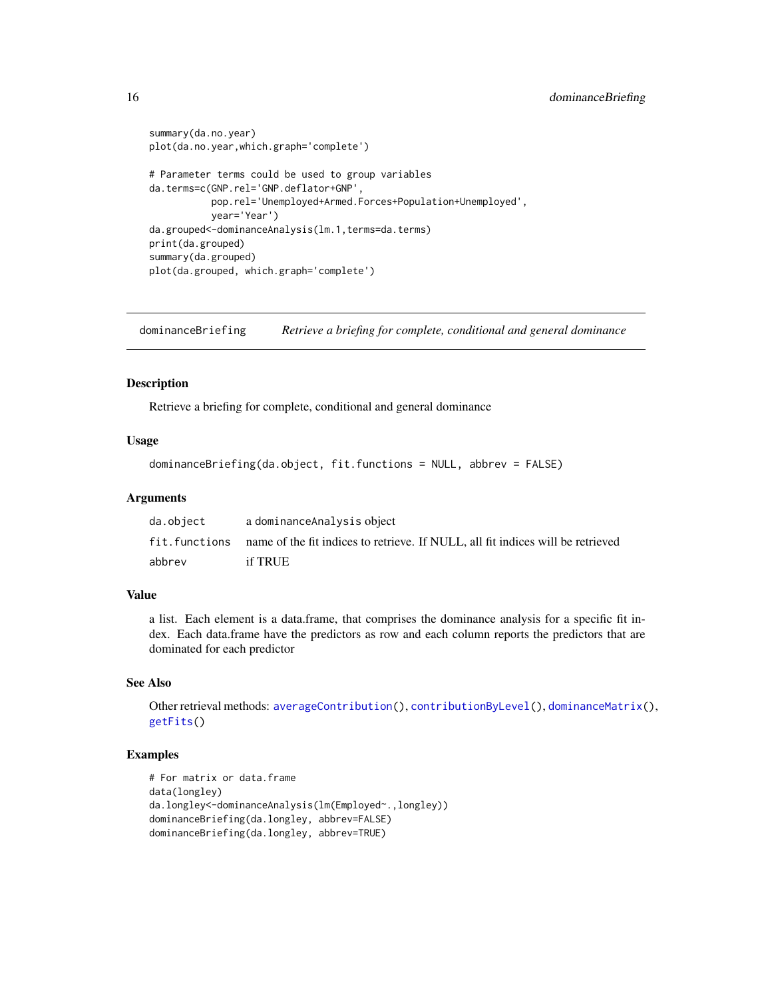```
summary(da.no.year)
plot(da.no.year,which.graph='complete')
# Parameter terms could be used to group variables
da.terms=c(GNP.rel='GNP.deflator+GNP',
          pop.rel='Unemployed+Armed.Forces+Population+Unemployed',
          year='Year')
da.grouped<-dominanceAnalysis(lm.1,terms=da.terms)
print(da.grouped)
summary(da.grouped)
plot(da.grouped, which.graph='complete')
```
<span id="page-15-1"></span>dominanceBriefing *Retrieve a briefing for complete, conditional and general dominance*

# Description

Retrieve a briefing for complete, conditional and general dominance

# Usage

dominanceBriefing(da.object, fit.functions = NULL, abbrev = FALSE)

### Arguments

| da.object | a dominance Analysis object                                                                      |
|-----------|--------------------------------------------------------------------------------------------------|
|           | fit. functions — name of the fit indices to retrieve. If NULL, all fit indices will be retrieved |
| abbrev    | if TRUE                                                                                          |

## Value

a list. Each element is a data.frame, that comprises the dominance analysis for a specific fit index. Each data.frame have the predictors as row and each column reports the predictors that are dominated for each predictor

# See Also

Other retrieval methods: [averageContribution\(](#page-3-1)), [contributionByLevel\(](#page-6-1)), [dominanceMatrix\(](#page-16-1)), [getFits\(](#page-17-1))

# Examples

```
# For matrix or data.frame
data(longley)
da.longley<-dominanceAnalysis(lm(Employed~.,longley))
dominanceBriefing(da.longley, abbrev=FALSE)
dominanceBriefing(da.longley, abbrev=TRUE)
```
<span id="page-15-0"></span>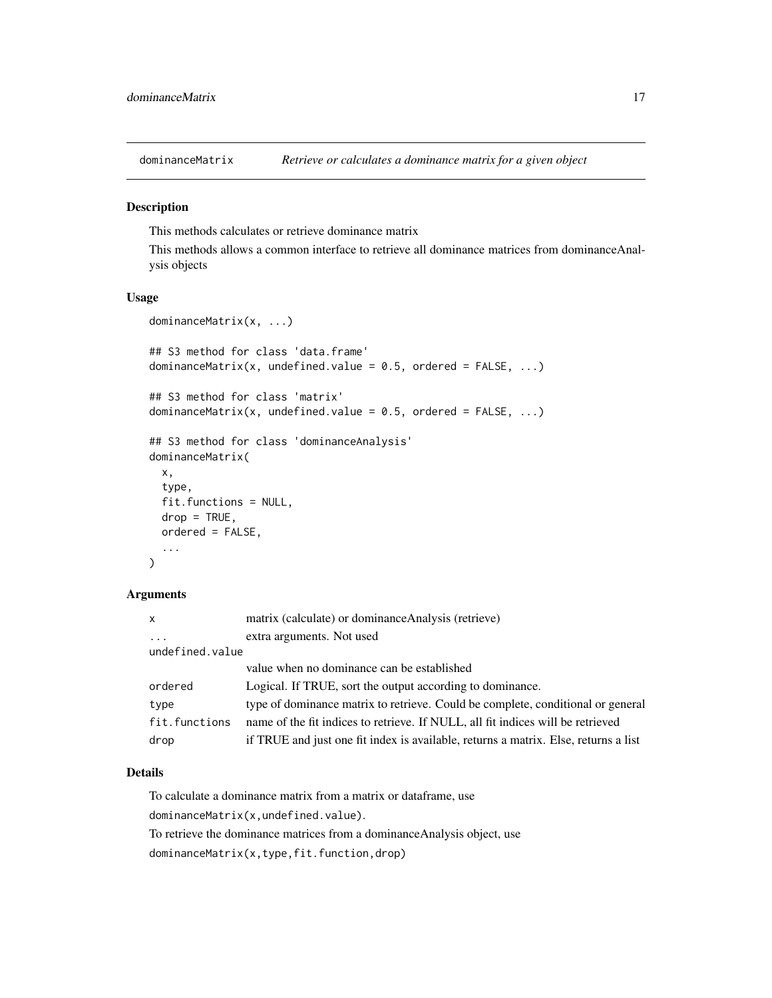<span id="page-16-1"></span><span id="page-16-0"></span>dominanceMatrix *Retrieve or calculates a dominance matrix for a given object*

# Description

This methods calculates or retrieve dominance matrix

This methods allows a common interface to retrieve all dominance matrices from dominanceAnalysis objects

# Usage

```
dominanceMatrix(x, ...)
## S3 method for class 'data.frame'
dominanceMatrix(x, undefined.value = 0.5, ordered = FALSE, ...)
## S3 method for class 'matrix'
dominanceMatrix(x, undefined.value = 0.5, ordered = FALSE, ...)
## S3 method for class 'dominanceAnalysis'
dominanceMatrix(
  x,
  type,
 fit.functions = NULL,
 drop = TRUE,ordered = FALSE,
  ...
\mathcal{L}
```
# Arguments

| $\mathsf{x}$    | matrix (calculate) or dominance Analysis (retrieve)                                 |  |
|-----------------|-------------------------------------------------------------------------------------|--|
| $\ddots$ .      | extra arguments. Not used                                                           |  |
| undefined.value |                                                                                     |  |
|                 | value when no dominance can be established                                          |  |
| ordered         | Logical. If TRUE, sort the output according to dominance.                           |  |
| type            | type of dominance matrix to retrieve. Could be complete, conditional or general     |  |
| fit.functions   | name of the fit indices to retrieve. If NULL, all fit indices will be retrieved     |  |
| drop            | if TRUE and just one fit index is available, returns a matrix. Else, returns a list |  |

# Details

To calculate a dominance matrix from a matrix or dataframe, use dominanceMatrix(x,undefined.value). To retrieve the dominance matrices from a dominanceAnalysis object, use dominanceMatrix(x,type,fit.function,drop)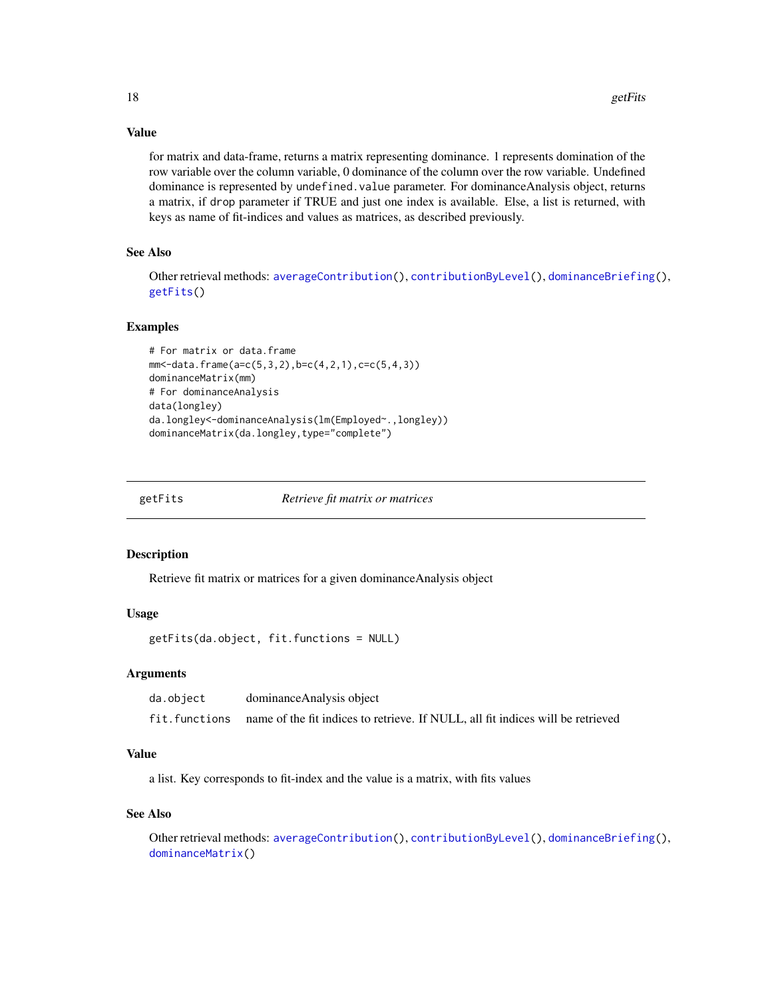#### <span id="page-17-0"></span>Value

for matrix and data-frame, returns a matrix representing dominance. 1 represents domination of the row variable over the column variable, 0 dominance of the column over the row variable. Undefined dominance is represented by undefined.value parameter. For dominanceAnalysis object, returns a matrix, if drop parameter if TRUE and just one index is available. Else, a list is returned, with keys as name of fit-indices and values as matrices, as described previously.

# See Also

Other retrieval methods: [averageContribution\(](#page-3-1)), [contributionByLevel\(](#page-6-1)), [dominanceBriefing\(](#page-15-1)), [getFits\(](#page-17-1))

# Examples

```
# For matrix or data.frame
mm<-data.frame(a=c(5,3,2),b=c(4,2,1),c=c(5,4,3))
dominanceMatrix(mm)
# For dominanceAnalysis
data(longley)
da.longley<-dominanceAnalysis(lm(Employed~.,longley))
dominanceMatrix(da.longley,type="complete")
```
<span id="page-17-1"></span>

getFits *Retrieve fit matrix or matrices*

#### Description

Retrieve fit matrix or matrices for a given dominanceAnalysis object

#### Usage

getFits(da.object, fit.functions = NULL)

#### Arguments

| da.object     | dominance Analysis object                                                       |
|---------------|---------------------------------------------------------------------------------|
| fit.functions | name of the fit indices to retrieve. If NULL, all fit indices will be retrieved |

# Value

a list. Key corresponds to fit-index and the value is a matrix, with fits values

#### See Also

Other retrieval methods: [averageContribution\(](#page-3-1)), [contributionByLevel\(](#page-6-1)), [dominanceBriefing\(](#page-15-1)), [dominanceMatrix\(](#page-16-1))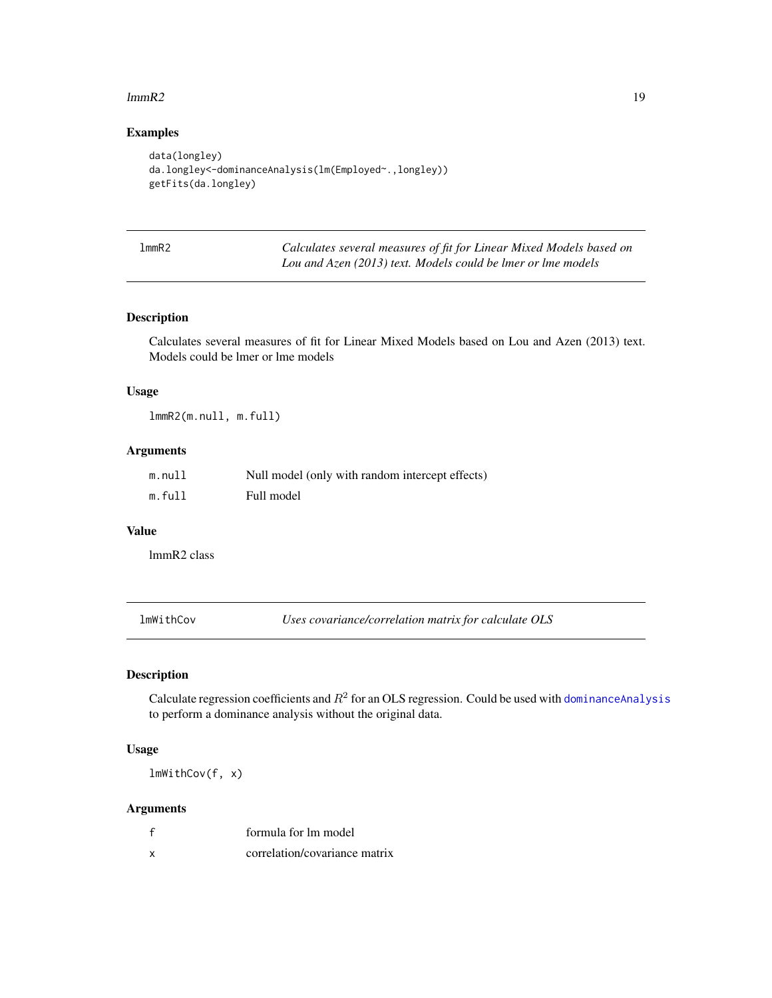#### <span id="page-18-0"></span> $lmmR2$  19

# Examples

```
data(longley)
da.longley<-dominanceAnalysis(lm(Employed~.,longley))
getFits(da.longley)
```
lmmR2 *Calculates several measures of fit for Linear Mixed Models based on Lou and Azen (2013) text. Models could be lmer or lme models*

#### Description

Calculates several measures of fit for Linear Mixed Models based on Lou and Azen (2013) text. Models could be lmer or lme models

#### Usage

lmmR2(m.null, m.full)

# Arguments

| m.null | Null model (only with random intercept effects) |
|--------|-------------------------------------------------|
| m.full | Full model                                      |

# Value

lmmR2 class

<span id="page-18-1"></span>lmWithCov *Uses covariance/correlation matrix for calculate OLS*

# Description

Calculate regression coefficients and  $R^2$  for an OLS regression. Could be used with dominance Analysis to perform a dominance analysis without the original data.

# Usage

lmWithCov(f, x)

|   | formula for lm model          |
|---|-------------------------------|
| x | correlation/covariance matrix |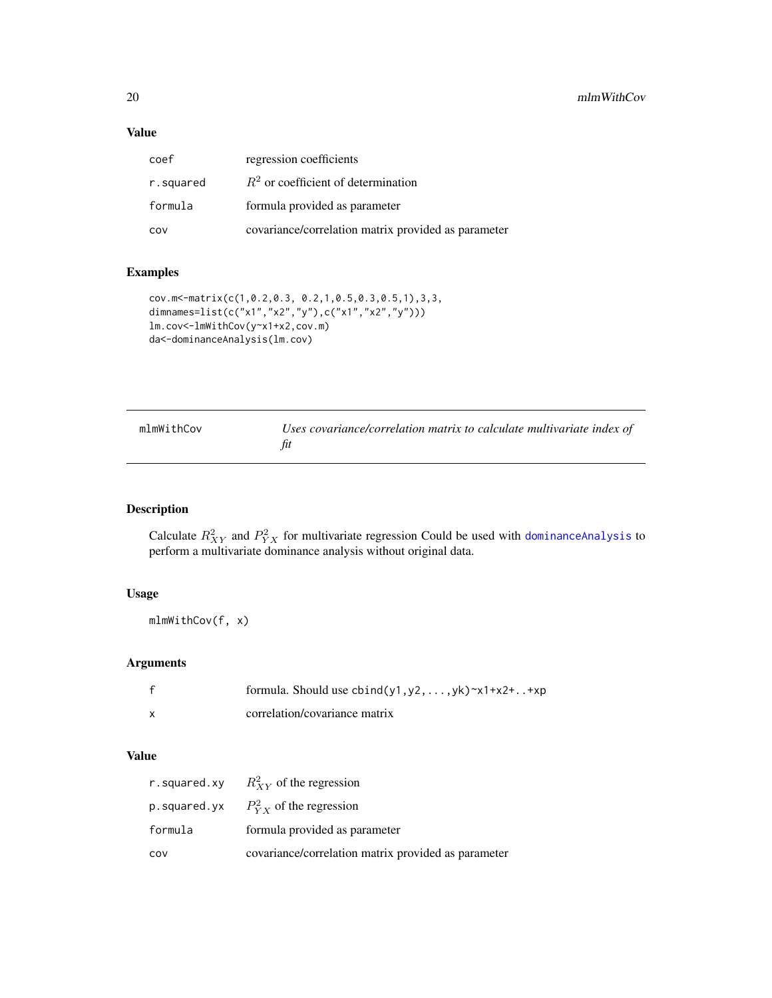# <span id="page-19-0"></span>Value

| coef      | regression coefficients                             |
|-----------|-----------------------------------------------------|
| r.squared | $R2$ or coefficient of determination                |
| formula   | formula provided as parameter                       |
| cov       | covariance/correlation matrix provided as parameter |

# Examples

```
cov.m<-matrix(c(1,0.2,0.3, 0.2,1,0.5,0.3,0.5,1),3,3,
dimnames=list(c("x1","x2","y"),c("x1","x2","y")))
lm.cov<-lmWithCov(y~x1+x2,cov.m)
da<-dominanceAnalysis(lm.cov)
```
<span id="page-19-1"></span>

| mlmWithCov | Uses covariance/correlation matrix to calculate multivariate index of |
|------------|-----------------------------------------------------------------------|
|            |                                                                       |

# Description

Calculate  $R_{XY}^2$  and  $P_{YX}^2$  for multivariate regression Could be used with dominance Analysis to perform a multivariate dominance analysis without original data.

# Usage

mlmWithCov(f, x)

# Arguments

| formula. Should use $\text{cbind}(y1, y2, \ldots, yk)$ $\text{rx1+x2+}} \ldots$ $\text{txp}$ |
|----------------------------------------------------------------------------------------------|
| correlation/covariance matrix                                                                |

# Value

|         | r. squared. xy $R_{XY}^2$ of the regression         |
|---------|-----------------------------------------------------|
|         | p. squared. yx $P_{VX}^2$ of the regression         |
| formula | formula provided as parameter                       |
| COV     | covariance/correlation matrix provided as parameter |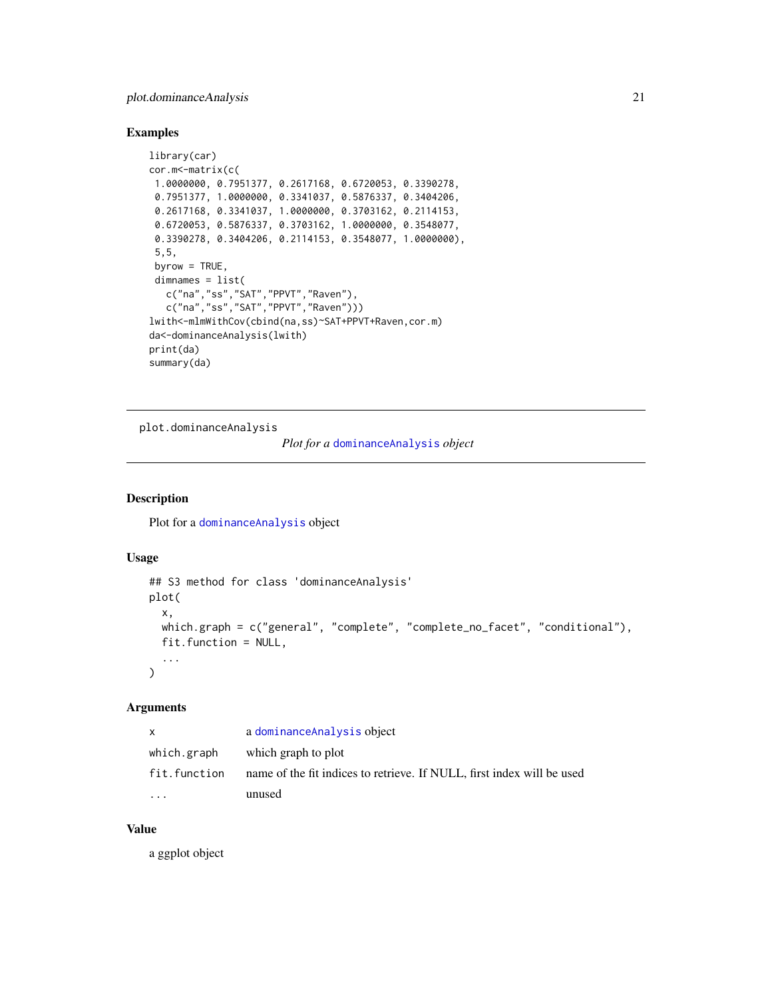# <span id="page-20-0"></span>plot.dominanceAnalysis 21

# Examples

```
library(car)
cor.m<-matrix(c(
1.0000000, 0.7951377, 0.2617168, 0.6720053, 0.3390278,
 0.7951377, 1.0000000, 0.3341037, 0.5876337, 0.3404206,
 0.2617168, 0.3341037, 1.0000000, 0.3703162, 0.2114153,
 0.6720053, 0.5876337, 0.3703162, 1.0000000, 0.3548077,
 0.3390278, 0.3404206, 0.2114153, 0.3548077, 1.0000000),
 5,5,
 byrow = TRUE,
 dimnames = list(
  c("na","ss","SAT","PPVT","Raven"),
  c("na","ss","SAT","PPVT","Raven")))
lwith<-mlmWithCov(cbind(na,ss)~SAT+PPVT+Raven,cor.m)
da<-dominanceAnalysis(lwith)
print(da)
summary(da)
```
plot.dominanceAnalysis

*Plot for a* [dominanceAnalysis](#page-12-1) *object*

# Description

Plot for a [dominanceAnalysis](#page-12-1) object

#### Usage

```
## S3 method for class 'dominanceAnalysis'
plot(
  x,
 which.graph = c("general", "complete", "complete_no_facet", "conditional"),
  fit.function = NULL,
  ...
)
```
# Arguments

| X            | a dominanceAnalysis object                                             |
|--------------|------------------------------------------------------------------------|
| which.graph  | which graph to plot                                                    |
| fit.function | name of the fit indices to retrieve. If NULL, first index will be used |
| .            | unused                                                                 |

# Value

a ggplot object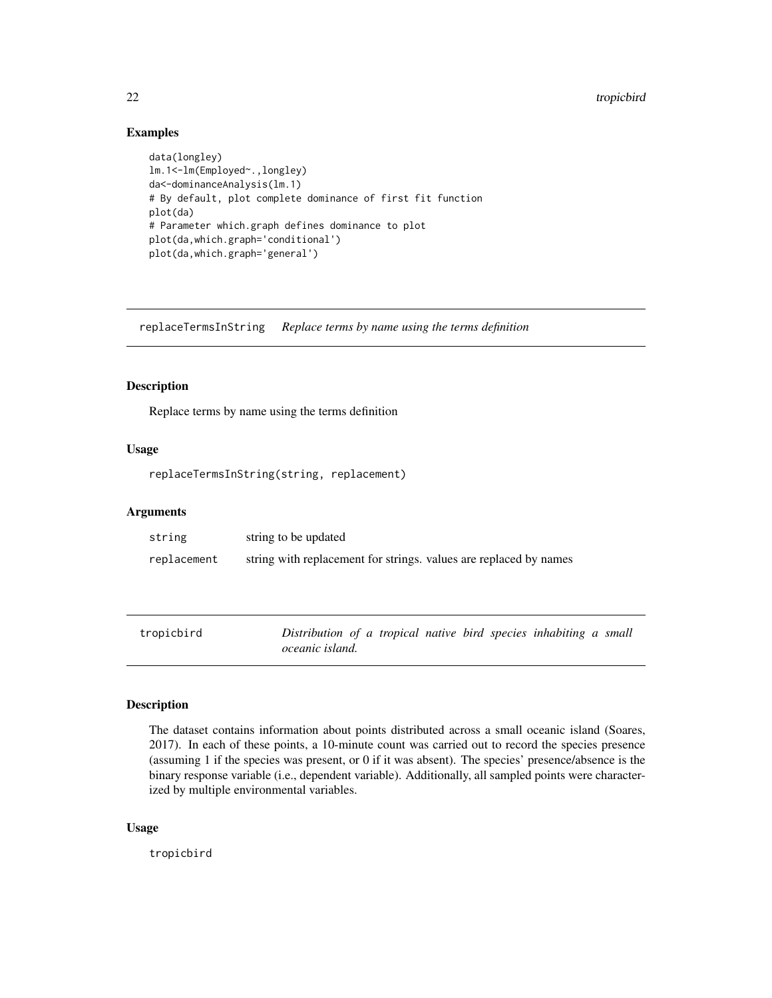# <span id="page-21-0"></span>Examples

```
data(longley)
lm.1<-lm(Employed~.,longley)
da<-dominanceAnalysis(lm.1)
# By default, plot complete dominance of first fit function
plot(da)
# Parameter which.graph defines dominance to plot
plot(da,which.graph='conditional')
plot(da,which.graph='general')
```
replaceTermsInString *Replace terms by name using the terms definition*

#### Description

Replace terms by name using the terms definition

#### Usage

```
replaceTermsInString(string, replacement)
```
#### **Arguments**

| string      | string to be updated                                              |
|-------------|-------------------------------------------------------------------|
| replacement | string with replacement for strings, values are replaced by names |

```
tropicbird Distribution of a tropical native bird species inhabiting a small
                      oceanic island.
```
# Description

The dataset contains information about points distributed across a small oceanic island (Soares, 2017). In each of these points, a 10-minute count was carried out to record the species presence (assuming 1 if the species was present, or 0 if it was absent). The species' presence/absence is the binary response variable (i.e., dependent variable). Additionally, all sampled points were characterized by multiple environmental variables.

#### Usage

tropicbird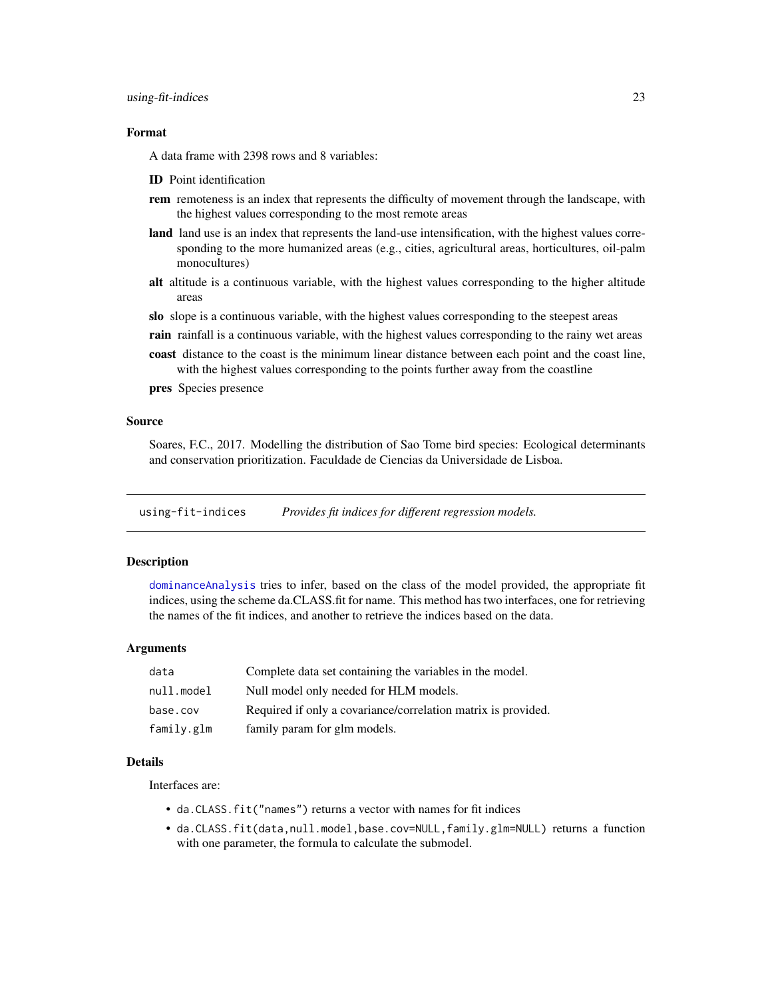#### <span id="page-22-0"></span>Format

A data frame with 2398 rows and 8 variables:

- ID Point identification
- **rem** remoteness is an index that represents the difficulty of movement through the landscape, with the highest values corresponding to the most remote areas
- land land use is an index that represents the land-use intensification, with the highest values corresponding to the more humanized areas (e.g., cities, agricultural areas, horticultures, oil-palm monocultures)
- alt altitude is a continuous variable, with the highest values corresponding to the higher altitude areas
- slo slope is a continuous variable, with the highest values corresponding to the steepest areas
- **rain** rainfall is a continuous variable, with the highest values corresponding to the rainy wet areas
- coast distance to the coast is the minimum linear distance between each point and the coast line, with the highest values corresponding to the points further away from the coastline

pres Species presence

### Source

Soares, F.C., 2017. Modelling the distribution of Sao Tome bird species: Ecological determinants and conservation prioritization. Faculdade de Ciencias da Universidade de Lisboa.

<span id="page-22-1"></span>using-fit-indices *Provides fit indices for different regression models.*

#### Description

[dominanceAnalysis](#page-12-1) tries to infer, based on the class of the model provided, the appropriate fit indices, using the scheme da.CLASS.fit for name. This method has two interfaces, one for retrieving the names of the fit indices, and another to retrieve the indices based on the data.

# Arguments

| data       | Complete data set containing the variables in the model.      |
|------------|---------------------------------------------------------------|
| null.model | Null model only needed for HLM models.                        |
| base.cov   | Required if only a covariance/correlation matrix is provided. |
| family.glm | family param for glm models.                                  |

#### Details

Interfaces are:

- da.CLASS.fit("names") returns a vector with names for fit indices
- da.CLASS.fit(data,null.model,base.cov=NULL,family.glm=NULL) returns a function with one parameter, the formula to calculate the submodel.